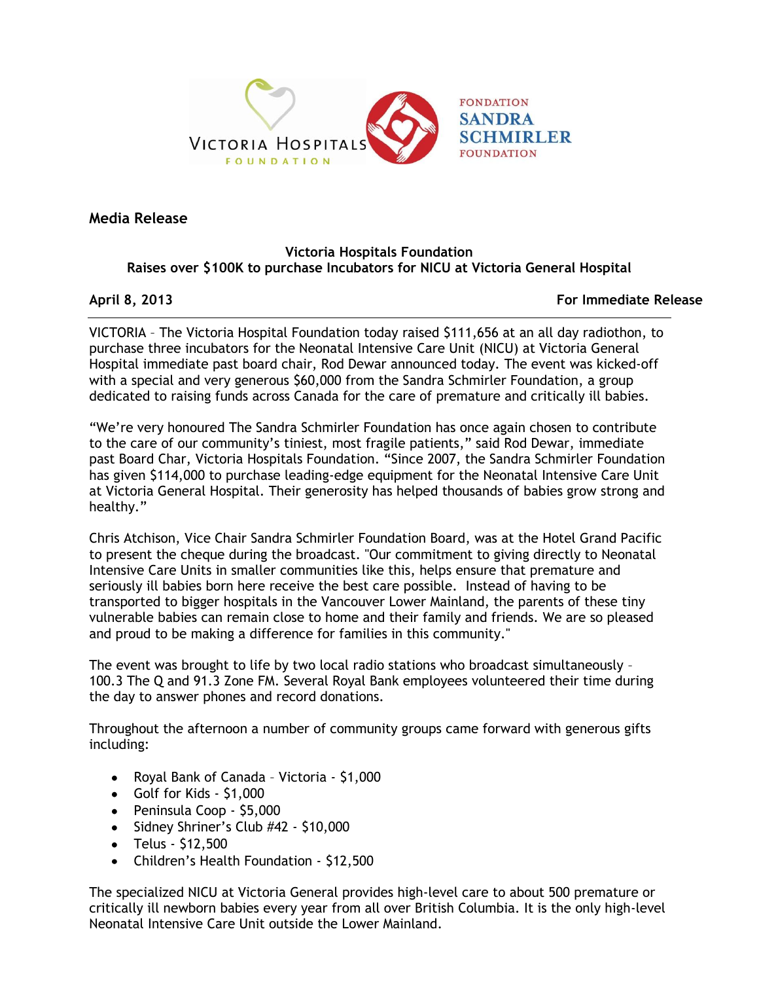

**Media Release**

# **Victoria Hospitals Foundation Raises over \$100K to purchase Incubators for NICU at Victoria General Hospital**

**April 8, 2013 For Immediate Release**

VICTORIA – The Victoria Hospital Foundation today raised \$111,656 at an all day radiothon, to purchase three incubators for the Neonatal Intensive Care Unit (NICU) at Victoria General Hospital immediate past board chair, Rod Dewar announced today. The event was kicked-off with a special and very generous \$60,000 from the Sandra Schmirler Foundation, a group dedicated to raising funds across Canada for the care of premature and critically ill babies.

"We're very honoured The Sandra Schmirler Foundation has once again chosen to contribute to the care of our community's tiniest, most fragile patients," said Rod Dewar, immediate past Board Char, Victoria Hospitals Foundation. "Since 2007, the Sandra Schmirler Foundation has given \$114,000 to purchase leading-edge equipment for the Neonatal Intensive Care Unit at Victoria General Hospital. Their generosity has helped thousands of babies grow strong and healthy."

Chris Atchison, Vice Chair Sandra Schmirler Foundation Board, was at the Hotel Grand Pacific to present the cheque during the broadcast. "Our commitment to giving directly to Neonatal Intensive Care Units in smaller communities like this, helps ensure that premature and seriously ill babies born here receive the best care possible. Instead of having to be transported to bigger hospitals in the Vancouver Lower Mainland, the parents of these tiny vulnerable babies can remain close to home and their family and friends. We are so pleased and proud to be making a difference for families in this community."

The event was brought to life by two local radio stations who broadcast simultaneously – 100.3 The Q and 91.3 Zone FM. Several Royal Bank employees volunteered their time during the day to answer phones and record donations.

Throughout the afternoon a number of community groups came forward with generous gifts including:

- Royal Bank of Canada Victoria \$1,000
- Golf for Kids \$1,000
- Peninsula Coop \$5,000
- $\bullet$  Sidney Shriner's Club #42 \$10,000
- $\bullet$  Telus \$12,500
- Children's Health Foundation \$12,500

The specialized NICU at Victoria General provides high-level care to about 500 premature or critically ill newborn babies every year from all over British Columbia. It is the only high-level Neonatal Intensive Care Unit outside the Lower Mainland.